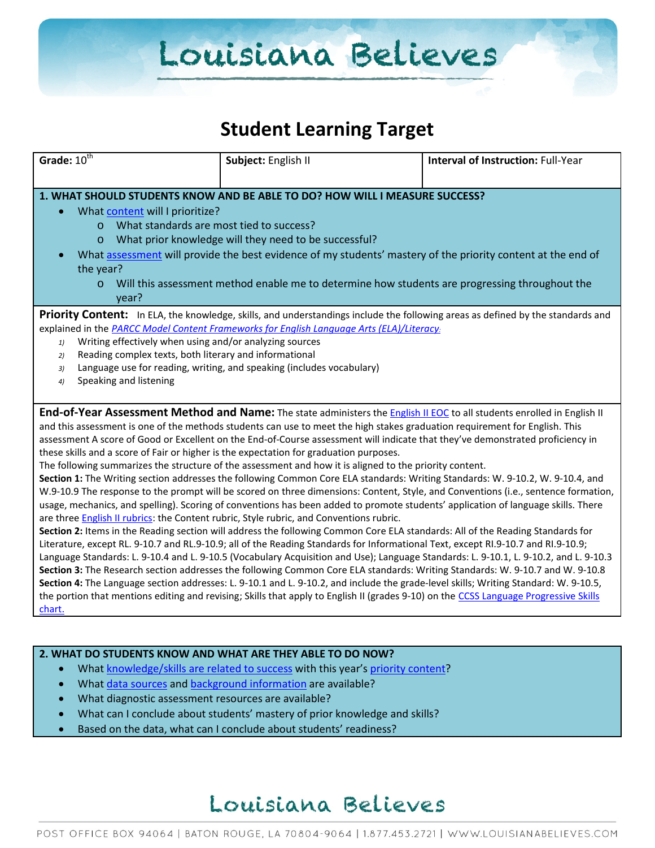### **Student Learning Target**

| Grade: $10^{\overline{th}}$                                                                                                                                                                                                                                                                                                                                                                                                                                                                                                                                                                                                                                                                                                                                                                                                                                                                                                                                                                                                                                                                                                                                                                                                                                                                                                                                                                                                                                                                                                                                                                                                                                                                                                                                                                                                                                                                                                                              | Subject: English II | <b>Interval of Instruction: Full-Year</b> |  |  |
|----------------------------------------------------------------------------------------------------------------------------------------------------------------------------------------------------------------------------------------------------------------------------------------------------------------------------------------------------------------------------------------------------------------------------------------------------------------------------------------------------------------------------------------------------------------------------------------------------------------------------------------------------------------------------------------------------------------------------------------------------------------------------------------------------------------------------------------------------------------------------------------------------------------------------------------------------------------------------------------------------------------------------------------------------------------------------------------------------------------------------------------------------------------------------------------------------------------------------------------------------------------------------------------------------------------------------------------------------------------------------------------------------------------------------------------------------------------------------------------------------------------------------------------------------------------------------------------------------------------------------------------------------------------------------------------------------------------------------------------------------------------------------------------------------------------------------------------------------------------------------------------------------------------------------------------------------------|---------------------|-------------------------------------------|--|--|
| 1. WHAT SHOULD STUDENTS KNOW AND BE ABLE TO DO? HOW WILL I MEASURE SUCCESS?<br>What content will I prioritize?<br>What standards are most tied to success?<br>$\Omega$<br>What prior knowledge will they need to be successful?<br>$\circ$<br>What assessment will provide the best evidence of my students' mastery of the priority content at the end of<br>the year?<br>Will this assessment method enable me to determine how students are progressing throughout the<br>$\circ$<br>year?                                                                                                                                                                                                                                                                                                                                                                                                                                                                                                                                                                                                                                                                                                                                                                                                                                                                                                                                                                                                                                                                                                                                                                                                                                                                                                                                                                                                                                                            |                     |                                           |  |  |
| Priority Content: In ELA, the knowledge, skills, and understandings include the following areas as defined by the standards and<br>explained in the PARCC Model Content Frameworks for English Language Arts (ELA)/Literacy:<br>Writing effectively when using and/or analyzing sources<br>1)<br>Reading complex texts, both literary and informational<br>2)<br>Language use for reading, writing, and speaking (includes vocabulary)<br>3)<br>Speaking and listening<br>4)                                                                                                                                                                                                                                                                                                                                                                                                                                                                                                                                                                                                                                                                                                                                                                                                                                                                                                                                                                                                                                                                                                                                                                                                                                                                                                                                                                                                                                                                             |                     |                                           |  |  |
| End-of-Year Assessment Method and Name: The state administers the <i>English II EOC</i> to all students enrolled in English II<br>and this assessment is one of the methods students can use to meet the high stakes graduation requirement for English. This<br>assessment A score of Good or Excellent on the End-of-Course assessment will indicate that they've demonstrated proficiency in<br>these skills and a score of Fair or higher is the expectation for graduation purposes.<br>The following summarizes the structure of the assessment and how it is aligned to the priority content.<br>Section 1: The Writing section addresses the following Common Core ELA standards: Writing Standards: W. 9-10.2, W. 9-10.4, and<br>W.9-10.9 The response to the prompt will be scored on three dimensions: Content, Style, and Conventions (i.e., sentence formation,<br>usage, mechanics, and spelling). Scoring of conventions has been added to promote students' application of language skills. There<br>are three English II rubrics: the Content rubric, Style rubric, and Conventions rubric.<br>Section 2: Items in the Reading section will address the following Common Core ELA standards: All of the Reading Standards for<br>Literature, except RL. 9-10.7 and RL.9-10.9; all of the Reading Standards for Informational Text, except RI.9-10.7 and RI.9-10.9;<br>Language Standards: L. 9-10.4 and L. 9-10.5 (Vocabulary Acquisition and Use); Language Standards: L. 9-10.1, L. 9-10.2, and L. 9-10.3<br>Section 3: The Research section addresses the following Common Core ELA standards: Writing Standards: W. 9-10.7 and W. 9-10.8<br>Section 4: The Language section addresses: L. 9-10.1 and L. 9-10.2, and include the grade-level skills; Writing Standard: W. 9-10.5,<br>the portion that mentions editing and revising; Skills that apply to English II (grades 9-10) on the CCSS Language Progressive Skills<br>chart. |                     |                                           |  |  |

#### **2. WHAT DO STUDENTS KNOW AND WHAT ARE THEY ABLE TO DO NOW?**

- Wha[t knowledge/skills are related to success](http://www.louisianabelieves.com/academics/2014-2015-curricular-package) with this year's [priority content?](http://www.louisianabelieves.com/resources/classroom-support-toolbox/teacher-support-toolbox/standards)
- Wha[t data sources](http://www.louisianabelieves.com/resources/classroom-support-toolbox/teacher-support-toolbox/student-achievement-results) and [background information](http://www.louisianabelieves.com/resources/library/data-center) are available?
- What diagnostic assessment resources are available?
- What can I conclude about students' mastery of prior knowledge and skills?
- Based on the data, what can I conclude about students' readiness?

### Louisiana Believes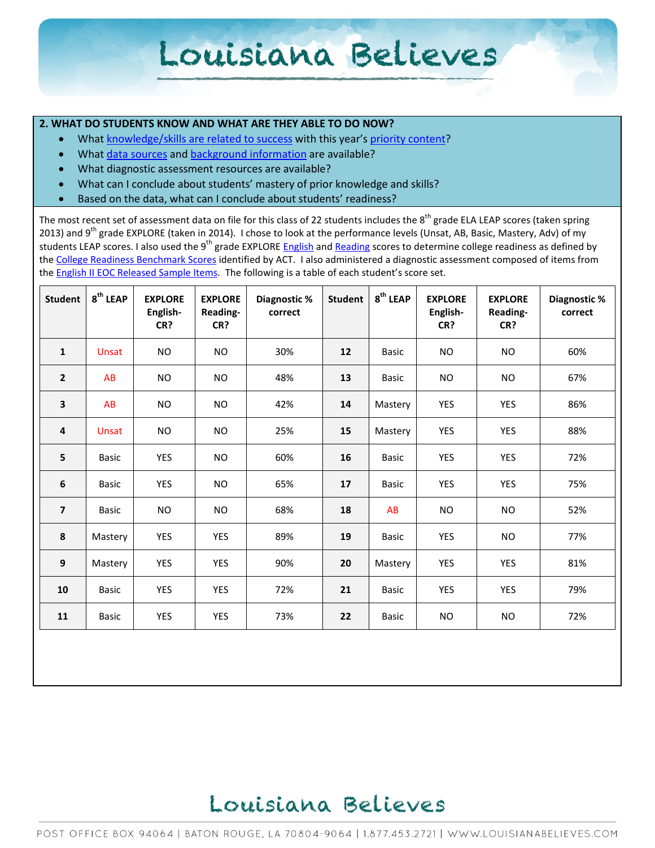#### **2. WHAT DO STUDENTS KNOW AND WHAT ARE THEY ABLE TO DO NOW?**

- Wha[t knowledge/skills are related to success](http://www.louisianabelieves.com/academics/2014-2015-curricular-package) with this year's [priority content?](http://www.louisianabelieves.com/resources/classroom-support-toolbox/teacher-support-toolbox/standards)
- Wha[t data sources](http://www.louisianabelieves.com/resources/classroom-support-toolbox/teacher-support-toolbox/student-achievement-results) and [background information](http://www.louisianabelieves.com/resources/library/data-center) are available?
- What diagnostic assessment resources are available?
- What can I conclude about students' mastery of prior knowledge and skills?
- Based on the data, what can I conclude about students' readiness?

The most recent set of assessment data on file for this class of 22 students includes the  $8^{th}$  grade ELA LEAP scores (taken spring 2013) and 9<sup>th</sup> grade EXPLORE (taken in 2014). I chose to look at the performance levels (Unsat, AB, Basic, Mastery, Adv) of my students LEAP scores. I also used the 9<sup>th</sup> grade EXPLORE [English](http://www.act.org/standard/planact/english/index.html) and [Reading](http://www.act.org/standard/planact/reading/index.html) scores to determine college readiness as defined by th[e College Readiness Benchmark Scores](http://www.act.org/solutions/college-career-readiness/college-readiness-benchmarks/) identified by ACT. I also administered a diagnostic assessment composed of items from th[e English II EOC Released Sample Items.](http://www.louisianabelieves.com/resources/library/assessment-guidance-2013-2014) The following is a table of each student's score set.

| <b>Student</b>          | 8 <sup>th</sup> LEAP | <b>EXPLORE</b><br>English-<br>CR? | <b>EXPLORE</b><br>Reading-<br>CR? | Diagnostic %<br>correct | <b>Student</b> | $8^{\text{th}}$ LEAP | <b>EXPLORE</b><br>English-<br>CR? | <b>EXPLORE</b><br>Reading-<br>CR? | Diagnostic %<br>correct |
|-------------------------|----------------------|-----------------------------------|-----------------------------------|-------------------------|----------------|----------------------|-----------------------------------|-----------------------------------|-------------------------|
| $\mathbf{1}$            | Unsat                | <b>NO</b>                         | <b>NO</b>                         | 30%                     | 12             | <b>Basic</b>         | <b>NO</b>                         | <b>NO</b>                         | 60%                     |
| $\overline{2}$          | <b>AB</b>            | <b>NO</b>                         | <b>NO</b>                         | 48%                     | 13             | <b>Basic</b>         | <b>NO</b>                         | <b>NO</b>                         | 67%                     |
| 3                       | AB                   | <b>NO</b>                         | <b>NO</b>                         | 42%                     | 14             | Mastery              | YES                               | YES                               | 86%                     |
| $\overline{\mathbf{4}}$ | Unsat                | <b>NO</b>                         | <b>NO</b>                         | 25%                     | 15             | Mastery              | <b>YES</b>                        | <b>YES</b>                        | 88%                     |
| 5                       | <b>Basic</b>         | <b>YES</b>                        | <b>NO</b>                         | 60%                     | 16             | <b>Basic</b>         | <b>YES</b>                        | <b>YES</b>                        | 72%                     |
| $\boldsymbol{6}$        | Basic                | <b>YES</b>                        | <b>NO</b>                         | 65%                     | 17             | <b>Basic</b>         | <b>YES</b>                        | <b>YES</b>                        | 75%                     |
| $\overline{\mathbf{z}}$ | <b>Basic</b>         | <b>NO</b>                         | <b>NO</b>                         | 68%                     | 18             | <b>AB</b>            | <b>NO</b>                         | <b>NO</b>                         | 52%                     |
| ${\bf 8}$               | Mastery              | <b>YES</b>                        | <b>YES</b>                        | 89%                     | 19             | <b>Basic</b>         | <b>YES</b>                        | <b>NO</b>                         | 77%                     |
| 9                       | Mastery              | <b>YES</b>                        | <b>YES</b>                        | 90%                     | 20             | Mastery              | <b>YES</b>                        | <b>YES</b>                        | 81%                     |
| 10                      | <b>Basic</b>         | <b>YES</b>                        | <b>YES</b>                        | 72%                     | 21             | <b>Basic</b>         | <b>YES</b>                        | <b>YES</b>                        | 79%                     |
| 11                      | Basic                | <b>YES</b>                        | <b>YES</b>                        | 73%                     | 22             | <b>Basic</b>         | <b>NO</b>                         | <b>NO</b>                         | 72%                     |

### Louisiana Believes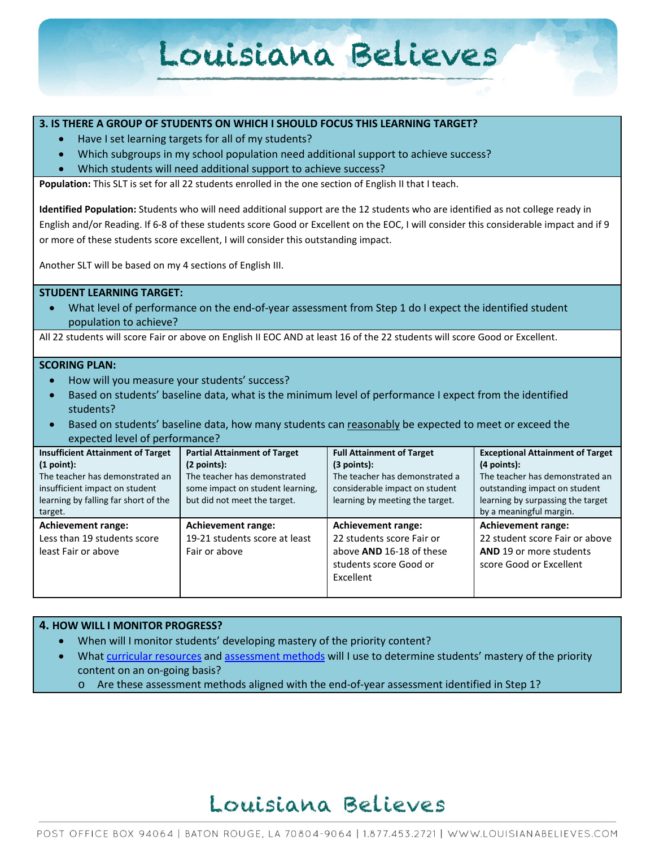#### **3. IS THERE A GROUP OF STUDENTS ON WHICH I SHOULD FOCUS THIS LEARNING TARGET?**

- Have I set learning targets for all of my students?
- Which subgroups in my school population need additional support to achieve success?
- Which students will need additional support to achieve success?

**Population:** This SLT is set for all 22 students enrolled in the one section of English II that I teach.

**Identified Population:** Students who will need additional support are the 12 students who are identified as not college ready in English and/or Reading. If 6-8 of these students score Good or Excellent on the EOC, I will consider this considerable impact and if 9 or more of these students score excellent, I will consider this outstanding impact.

Another SLT will be based on my 4 sections of English III.

#### **STUDENT LEARNING TARGET:**

• What level of performance on the end-of-year assessment from Step 1 do I expect the identified student population to achieve?

All 22 students will score Fair or above on English II EOC AND at least 16 of the 22 students will score Good or Excellent.

#### **SCORING PLAN:**

- How will you measure your students' success?
- Based on students' baseline data, what is the minimum level of performance I expect from the identified students?
- Based on students' baseline data, how many students can reasonably be expected to meet or exceed the expected level of performance?

| <b>Insufficient Attainment of Target</b><br>(1 point):<br>The teacher has demonstrated an<br>insufficient impact on student<br>learning by falling far short of the<br>target. | <b>Partial Attainment of Target</b><br>(2 points):<br>The teacher has demonstrated<br>some impact on student learning,<br>but did not meet the target. | <b>Full Attainment of Target</b><br>(3 points):<br>The teacher has demonstrated a<br>considerable impact on student<br>learning by meeting the target. | <b>Exceptional Attainment of Target</b><br>$(4$ points):<br>The teacher has demonstrated an<br>outstanding impact on student<br>learning by surpassing the target<br>by a meaningful margin. |
|--------------------------------------------------------------------------------------------------------------------------------------------------------------------------------|--------------------------------------------------------------------------------------------------------------------------------------------------------|--------------------------------------------------------------------------------------------------------------------------------------------------------|----------------------------------------------------------------------------------------------------------------------------------------------------------------------------------------------|
| <b>Achievement range:</b><br>Less than 19 students score<br>least Fair or above                                                                                                | <b>Achievement range:</b><br>19-21 students score at least<br>Fair or above                                                                            | <b>Achievement range:</b><br>22 students score Fair or<br>above AND 16-18 of these<br>students score Good or<br>Excellent                              | <b>Achievement range:</b><br>22 student score Fair or above<br><b>AND 19 or more students</b><br>score Good or Excellent                                                                     |

#### **4. HOW WILL I MONITOR PROGRESS?**

- When will I monitor students' developing mastery of the priority content?
- Wha[t curricular resources](http://www.louisianabelieves.com/resources/library/year-long-scope-sequence) and [assessment methods](http://www.louisianabelieves.com/resources/classroom-support-toolbox/teacher-support-toolbox/end-of-year-assessments) will I use to determine students' mastery of the priority content on an on-going basis?
	- o Are these assessment methods aligned with the end-of-year assessment identified in Step 1?

### Louisiana Believes